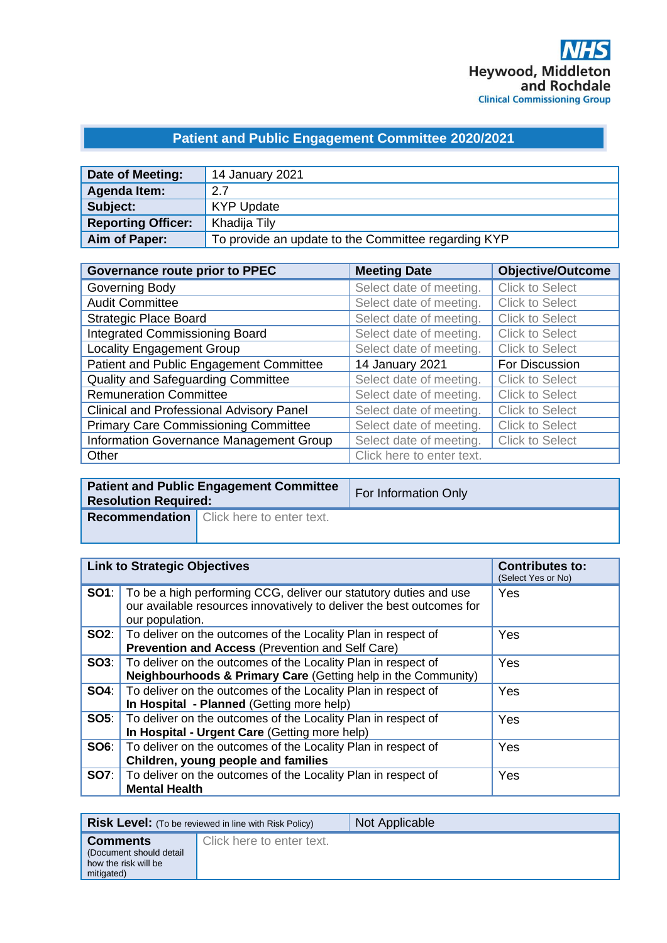## **Patient and Public Engagement Committee 2020/2021**

| Date of Meeting:          | 14 January 2021                                     |
|---------------------------|-----------------------------------------------------|
| Agenda Item:              | 2.7                                                 |
| Subject:                  | <b>KYP Update</b>                                   |
| <b>Reporting Officer:</b> | Khadija Tily                                        |
| Aim of Paper:             | To provide an update to the Committee regarding KYP |

| <b>Governance route prior to PPEC</b>           | <b>Meeting Date</b>       | <b>Objective/Outcome</b> |
|-------------------------------------------------|---------------------------|--------------------------|
| Governing Body                                  | Select date of meeting.   | <b>Click to Select</b>   |
| <b>Audit Committee</b>                          | Select date of meeting.   | <b>Click to Select</b>   |
| <b>Strategic Place Board</b>                    | Select date of meeting.   | <b>Click to Select</b>   |
| Integrated Commissioning Board                  | Select date of meeting.   | <b>Click to Select</b>   |
| <b>Locality Engagement Group</b>                | Select date of meeting.   | <b>Click to Select</b>   |
| Patient and Public Engagement Committee         | 14 January 2021           | For Discussion           |
| Quality and Safeguarding Committee              | Select date of meeting.   | <b>Click to Select</b>   |
| <b>Remuneration Committee</b>                   | Select date of meeting.   | <b>Click to Select</b>   |
| <b>Clinical and Professional Advisory Panel</b> | Select date of meeting.   | <b>Click to Select</b>   |
| <b>Primary Care Commissioning Committee</b>     | Select date of meeting.   | <b>Click to Select</b>   |
| Information Governance Management Group         | Select date of meeting.   | <b>Click to Select</b>   |
| Other                                           | Click here to enter text. |                          |

| <b>Patient and Public Engagement Committee</b><br><b>Resolution Required:</b> |                                                 | For Information Only |
|-------------------------------------------------------------------------------|-------------------------------------------------|----------------------|
|                                                                               | <b>Recommendation</b> Click here to enter text. |                      |

| <b>Link to Strategic Objectives</b> |                                                                                                                                                                            | <b>Contributes to:</b><br>(Select Yes or No) |
|-------------------------------------|----------------------------------------------------------------------------------------------------------------------------------------------------------------------------|----------------------------------------------|
|                                     | <b>SO1</b> : To be a high performing CCG, deliver our statutory duties and use<br>our available resources innovatively to deliver the best outcomes for<br>our population. | Yes                                          |
|                                     | <b>SO2:</b>   To deliver on the outcomes of the Locality Plan in respect of<br>Prevention and Access (Prevention and Self Care)                                            | Yes                                          |
|                                     | <b>SO3</b> : To deliver on the outcomes of the Locality Plan in respect of<br>Neighbourhoods & Primary Care (Getting help in the Community)                                | Yes                                          |
|                                     | <b>SO4:</b> To deliver on the outcomes of the Locality Plan in respect of<br>In Hospital - Planned (Getting more help)                                                     | Yes                                          |
|                                     | <b>SO5:</b> To deliver on the outcomes of the Locality Plan in respect of<br>In Hospital - Urgent Care (Getting more help)                                                 | Yes                                          |
| SOS:                                | To deliver on the outcomes of the Locality Plan in respect of<br>Children, young people and families                                                                       | Yes                                          |
|                                     | <b>SO7:</b> To deliver on the outcomes of the Locality Plan in respect of<br><b>Mental Health</b>                                                                          | Yes                                          |

|                                                                                  | <b>Risk Level:</b> (To be reviewed in line with Risk Policy) | Not Applicable |
|----------------------------------------------------------------------------------|--------------------------------------------------------------|----------------|
| <b>Comments</b><br>(Document should detail<br>how the risk will be<br>mitigated) | Click here to enter text.                                    |                |